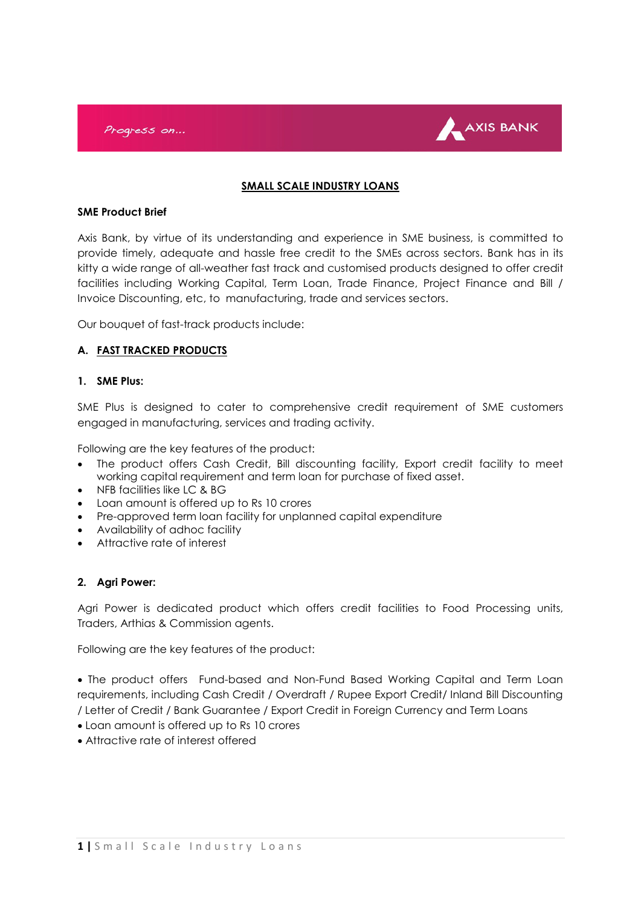

### **SMALL SCALE INDUSTRY LOANS**

#### **SME Product Brief**

Axis Bank, by virtue of its understanding and experience in SME business, is committed to provide timely, adequate and hassle free credit to the SMEs across sectors. Bank has in its kitty a wide range of all-weather fast track and customised products designed to offer credit facilities including Working Capital, Term Loan, Trade Finance, Project Finance and Bill / Invoice Discounting, etc, to manufacturing, trade and services sectors.

Our bouquet of fast-track products include:

### **A. FAST TRACKED PRODUCTS**

#### **1. SME Plus:**

SME Plus is designed to cater to comprehensive credit requirement of SME customers engaged in manufacturing, services and trading activity.

Following are the key features of the product:

- The product offers Cash Credit, Bill discounting facility, Export credit facility to meet working capital requirement and term loan for purchase of fixed asset.
- NFB facilities like LC & BG
- Loan amount is offered up to Rs 10 crores
- Pre-approved term loan facility for unplanned capital expenditure
- Availability of adhoc facility
- Attractive rate of interest

#### **2. Agri Power:**

Agri Power is dedicated product which offers credit facilities to Food Processing units, Traders, Arthias & Commission agents.

Following are the key features of the product:

 The product offers Fund-based and Non-Fund Based Working Capital and Term Loan requirements, including Cash Credit / Overdraft / Rupee Export Credit/ Inland Bill Discounting / Letter of Credit / Bank Guarantee / Export Credit in Foreign Currency and Term Loans

- Loan amount is offered up to Rs 10 crores
- Attractive rate of interest offered